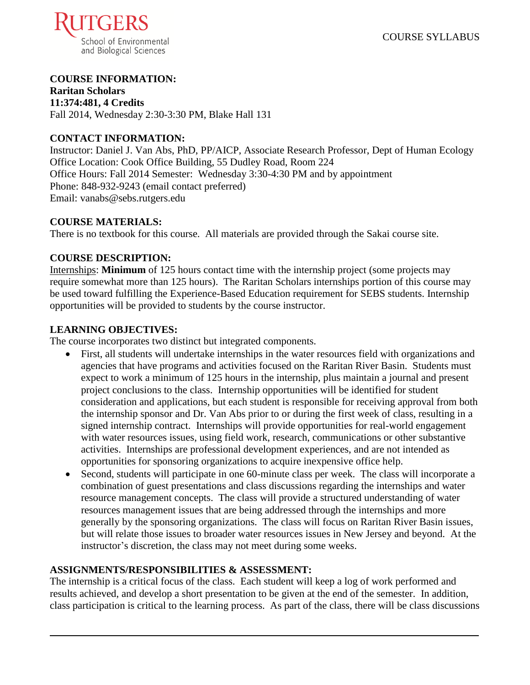

## **COURSE INFORMATION:**

**Raritan Scholars 11:374:481, 4 Credits** Fall 2014, Wednesday 2:30-3:30 PM, Blake Hall 131

### **CONTACT INFORMATION:**

Instructor: Daniel J. Van Abs, PhD, PP/AICP, Associate Research Professor, Dept of Human Ecology Office Location: Cook Office Building, 55 Dudley Road, Room 224 Office Hours: Fall 2014 Semester: Wednesday 3:30-4:30 PM and by appointment Phone: 848-932-9243 (email contact preferred) Email: vanabs@sebs.rutgers.edu

#### **COURSE MATERIALS:**

There is no textbook for this course. All materials are provided through the Sakai course site.

#### **COURSE DESCRIPTION:**

Internships: **Minimum** of 125 hours contact time with the internship project (some projects may require somewhat more than 125 hours). The Raritan Scholars internships portion of this course may be used toward fulfilling the Experience-Based Education requirement for SEBS students. Internship opportunities will be provided to students by the course instructor.

#### **LEARNING OBJECTIVES:**

The course incorporates two distinct but integrated components.

- First, all students will undertake internships in the water resources field with organizations and agencies that have programs and activities focused on the Raritan River Basin. Students must expect to work a minimum of 125 hours in the internship, plus maintain a journal and present project conclusions to the class. Internship opportunities will be identified for student consideration and applications, but each student is responsible for receiving approval from both the internship sponsor and Dr. Van Abs prior to or during the first week of class, resulting in a signed internship contract. Internships will provide opportunities for real-world engagement with water resources issues, using field work, research, communications or other substantive activities. Internships are professional development experiences, and are not intended as opportunities for sponsoring organizations to acquire inexpensive office help.
- Second, students will participate in one 60-minute class per week. The class will incorporate a combination of guest presentations and class discussions regarding the internships and water resource management concepts. The class will provide a structured understanding of water resources management issues that are being addressed through the internships and more generally by the sponsoring organizations. The class will focus on Raritan River Basin issues, but will relate those issues to broader water resources issues in New Jersey and beyond. At the instructor's discretion, the class may not meet during some weeks.

#### **ASSIGNMENTS/RESPONSIBILITIES & ASSESSMENT:**

The internship is a critical focus of the class. Each student will keep a log of work performed and results achieved, and develop a short presentation to be given at the end of the semester. In addition, class participation is critical to the learning process. As part of the class, there will be class discussions